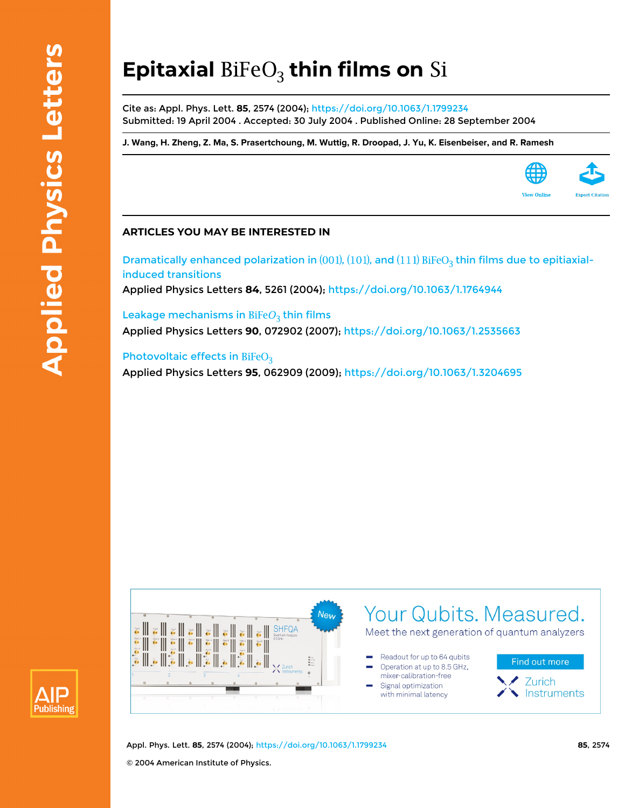## **Epitaxial BiFeO<sub>3</sub> thin films on Si**

Cite as: Appl. Phys. Lett. **85**, 2574 (2004);<https://doi.org/10.1063/1.1799234> Submitted: 19 April 2004 . Accepted: 30 July 2004 . Published Online: 28 September 2004

**[J. Wang,](https://aip.scitation.org/author/Wang%2C+J) [H. Zheng](https://aip.scitation.org/author/Zheng%2C+H), [Z. Ma,](https://aip.scitation.org/author/Ma%2C+Z) [S. Prasertchoung](https://aip.scitation.org/author/Prasertchoung%2C+S), [M. Wuttig](https://aip.scitation.org/author/Wuttig%2C+M), [R. Droopad,](https://aip.scitation.org/author/Droopad%2C+R) [J. Yu](https://aip.scitation.org/author/Yu%2C+J), [K. Eisenbeiser](https://aip.scitation.org/author/Eisenbeiser%2C+K), and [R. Ramesh](https://aip.scitation.org/author/Ramesh%2C+R)**



## **ARTICLES YOU MAY BE INTERESTED IN**

Dramatically enhanced polarization in  $(001)$ ,  $(101)$ , and  $(111)$  BiFeO<sub>3</sub> thin films due to epitiaxial[induced transitions](https://aip.scitation.org/doi/10.1063/1.1764944) Applied Physics Letters **84**, 5261 (2004); <https://doi.org/10.1063/1.1764944>

Leakage mechanisms in  $BIFeO<sub>3</sub>$  thin films Applied Physics Letters **90**, 072902 (2007);<https://doi.org/10.1063/1.2535663>

## [Photovoltaic effects in](https://aip.scitation.org/doi/10.1063/1.3204695)  $BiFeO<sub>3</sub>$

Applied Physics Letters **95**, 062909 (2009); <https://doi.org/10.1063/1.3204695>





Appl. Phys. Lett. **85**, 2574 (2004); <https://doi.org/10.1063/1.1799234> **85**, 2574 © 2004 American Institute of Physics.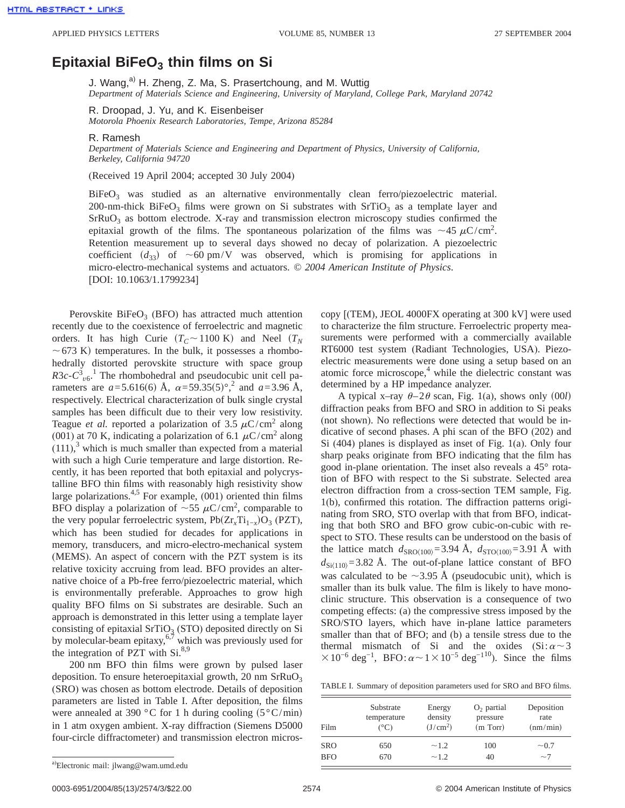## **Epitaxial BiFeO<sub>3</sub> thin films on Si**

J. Wang,<sup>a)</sup> H. Zheng, Z. Ma, S. Prasertchoung, and M. Wuttig *Department of Materials Science and Engineering, University of Maryland, College Park, Maryland 20742*

R. Droopad, J. Yu, and K. Eisenbeiser

*Motorola Phoenix Research Laboratories, Tempe, Arizona 85284*

R. Ramesh

*Department of Materials Science and Engineering and Department of Physics, University of California, Berkeley, California 94720*

(Received 19 April 2004; accepted 30 July 2004)

BiFeO<sub>3</sub> was studied as an alternative environmentally clean ferro/piezoelectric material. 200-nm-thick BiFeO<sub>3</sub> films were grown on Si substrates with  $S<sub>T</sub>$ iO<sub>3</sub> as a template layer and SrRuO<sub>3</sub> as bottom electrode. X-ray and transmission electron microscopy studies confirmed the epitaxial growth of the films. The spontaneous polarization of the films was  $\sim$ 45  $\mu$ C/cm<sup>2</sup>. Retention measurement up to several days showed no decay of polarization. A piezoelectric coefficient  $(d_{33})$  of  $\sim 60$  pm/V was observed, which is promising for applications in micro-electro-mechanical systems and actuators. © *2004 American Institute of Physics*. [DOI: 10.1063/1.1799234]

Perovskite BiFe $O_3$  (BFO) has attracted much attention recently due to the coexistence of ferroelectric and magnetic orders. It has high Curie  $(T_C \sim 1100 \text{ K})$  and Neel  $(T_N$  $\sim$  673 K) temperatures. In the bulk, it possesses a rhombohedrally distorted perovskite structure with space group  $R3c - C_{\nu_0}^3$ . The rhombohedral and pseudocubic unit cell parameters are  $a = 5.616(6)$  Å,  $\alpha = 59.35(5)$ °,<sup>2</sup> and  $a = 3.96$  Å, respectively. Electrical characterization of bulk single crystal samples has been difficult due to their very low resistivity. Teague *et al.* reported a polarization of 3.5  $\mu$ C/cm<sup>2</sup> along (001) at 70 K, indicating a polarization of 6.1  $\mu$ C/cm<sup>2</sup> along  $(111)$ ,<sup>3</sup> which is much smaller than expected from a material with such a high Curie temperature and large distortion. Recently, it has been reported that both epitaxial and polycrystalline BFO thin films with reasonably high resistivity show large polarizations.<sup>4,5</sup> For example,  $(001)$  oriented thin films BFO display a polarization of  $\sim$  55  $\mu$ C/cm<sup>2</sup>, comparable to the very popular ferroelectric system,  $Pb(Zr<sub>x</sub>Ti<sub>1-x</sub>)O<sub>3</sub>$  (PZT), which has been studied for decades for applications in memory, transducers, and micro-electro-mechanical system (MEMS). An aspect of concern with the PZT system is its relative toxicity accruing from lead. BFO provides an alternative choice of a Pb-free ferro/piezoelectric material, which is environmentally preferable. Approaches to grow high quality BFO films on Si substrates are desirable. Such an approach is demonstrated in this letter using a template layer consisting of epitaxial  $SrTiO<sub>3</sub> (STO)$  deposited directly on Si by molecular-beam epitaxy,  $6\frac{7}{7}$  which was previously used for the integration of PZT with  $Si^{8,9}$ .

200 nm BFO thin films were grown by pulsed laser deposition. To ensure heteroepitaxial growth, 20 nm  $SrRuO<sub>3</sub>$ (SRO) was chosen as bottom electrode. Details of deposition parameters are listed in Table I. After deposition, the films were annealed at 390 °C for 1 h during cooling  $(5^{\circ}C/min)$ in 1 atm oxygen ambient. X-ray diffraction (Siemens D5000 four-circle diffractometer) and transmission electron microscopy [(TEM), JEOL 4000FX operating at 300 kV] were used to characterize the film structure. Ferroelectric property measurements were performed with a commercially available RT6000 test system (Radiant Technologies, USA). Piezoelectric measurements were done using a setup based on an atomic force microscope, $4$  while the dielectric constant was determined by a HP impedance analyzer.

A typical x–ray  $\theta$ –2 $\theta$  scan, Fig. 1(a), shows only (00*l*) diffraction peaks from BFO and SRO in addition to Si peaks (not shown). No reflections were detected that would be indicative of second phases. A phi scan of the BFO (202) and Si (404) planes is displayed as inset of Fig. 1(a). Only four sharp peaks originate from BFO indicating that the film has good in-plane orientation. The inset also reveals a 45° rotation of BFO with respect to the Si substrate. Selected area electron diffraction from a cross-section TEM sample, Fig. 1(b), confirmed this rotation. The diffraction patterns originating from SRO, STO overlap with that from BFO, indicating that both SRO and BFO grow cubic-on-cubic with respect to STO. These results can be understood on the basis of the lattice match  $d_{\text{SRO}(100)} = 3.94$  Å,  $d_{\text{STO}(100)} = 3.91$  Å with  $d_{\text{Si}(110)} = 3.82$  Å. The out-of-plane lattice constant of BFO was calculated to be  $\sim$ 3.95 Å (pseudocubic unit), which is smaller than its bulk value. The film is likely to have monoclinic structure. This observation is a consequence of two competing effects: (a) the compressive stress imposed by the SRO/STO layers, which have in-plane lattice parameters smaller than that of BFO; and (b) a tensile stress due to the thermal mismatch of Si and the oxides  $(Si: \alpha \sim 3)$  $\times 10^{-6}$  deg<sup>-1</sup>, BFO: $\alpha \sim 1 \times 10^{-5}$  deg<sup>-110</sup>). Since the films

| Film       | Substrate     | Energy               | $O2$ partial | Deposition |
|------------|---------------|----------------------|--------------|------------|
|            | temperature   | density              | pressure     | rate       |
|            | $(^{\circ}C)$ | (J/cm <sup>2</sup> ) | (m Torr)     | (nm/min)   |
| <b>SRO</b> | 650           | $\sim$ 1.2           | 100          | $\sim 0.7$ |
| <b>BFO</b> | 670           | $\sim$ 1.2           | 40           | $\sim$ 7   |

a)Electronic mail: jlwang@wam.umd.edu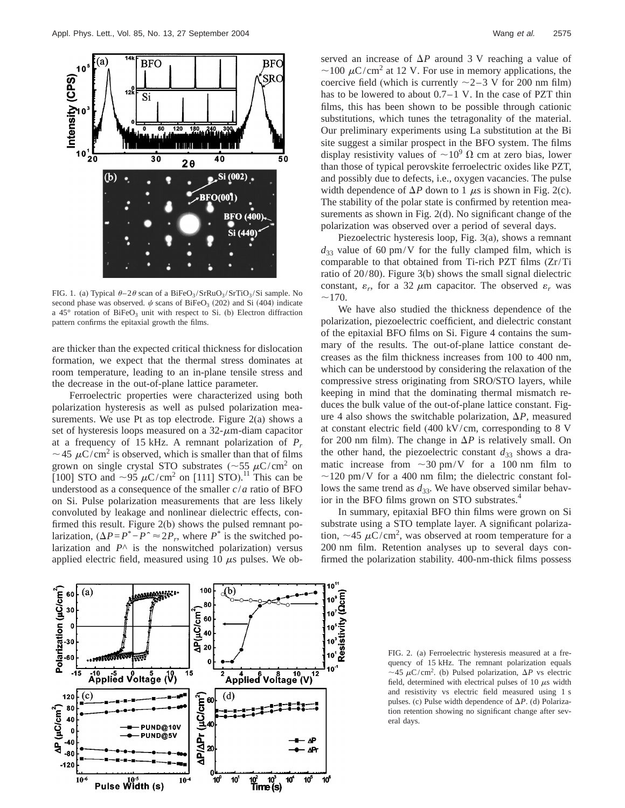

FIG. 1. (a) Typical  $\theta - 2\theta$  scan of a BiFeO<sub>3</sub>/SrRuO<sub>3</sub>/SrTiO<sub>3</sub>/Si sample. No second phase was observed.  $\psi$  scans of BiFeO<sub>3</sub> (202) and Si (404) indicate a  $45^{\circ}$  rotation of BiFeO<sub>3</sub> unit with respect to Si. (b) Electron diffraction pattern confirms the epitaxial growth the films.

are thicker than the expected critical thickness for dislocation formation, we expect that the thermal stress dominates at room temperature, leading to an in-plane tensile stress and the decrease in the out-of-plane lattice parameter.

Ferroelectric properties were characterized using both polarization hysteresis as well as pulsed polarization measurements. We use Pt as top electrode. Figure  $2(a)$  shows a set of hysteresis loops measured on a  $32-\mu$ m-diam capacitor at a frequency of 15 kHz. A remnant polarization of *Pr*  $\sim$  45  $\mu$ C/cm<sup>2</sup> is observed, which is smaller than that of films grown on single crystal STO substrates ( $\sim$ 55  $\mu$ C/cm<sup>2</sup> on [100] STO and  $\sim$ 95  $\mu$ C/cm<sup>2</sup> on [111] STO).<sup>11</sup> This can be understood as a consequence of the smaller *c*/*a* ratio of BFO on Si. Pulse polarization measurements that are less likely convoluted by leakage and nonlinear dielectric effects, confirmed this result. Figure 2(b) shows the pulsed remnant polarization,  $(\Delta P = P^* - P^* \approx 2P_r$ , where *P*<sup>\*</sup> is the switched polarization and  $P^{\wedge}$  is the nonswitched polarization) versus applied electric field, measured using 10  $\mu$ s pulses. We ob-



served an increase of  $\Delta P$  around 3 V reaching a value of  $\sim$ 100  $\mu$ C/cm<sup>2</sup> at 12 V. For use in memory applications, the coercive field (which is currently  $\sim$ 2–3 V for 200 nm film) has to be lowered to about 0.7–1 V. In the case of PZT thin films, this has been shown to be possible through cationic substitutions, which tunes the tetragonality of the material. Our preliminary experiments using La substitution at the Bi site suggest a similar prospect in the BFO system. The films display resistivity values of  $\sim 10^9 \Omega$  cm at zero bias, lower than those of typical perovskite ferroelectric oxides like PZT, and possibly due to defects, i.e., oxygen vacancies. The pulse width dependence of  $\Delta P$  down to 1  $\mu$ s is shown in Fig. 2(c). The stability of the polar state is confirmed by retention measurements as shown in Fig. 2(d). No significant change of the polarization was observed over a period of several days.

Piezoelectric hysteresis loop, Fig. 3(a), shows a remnant  $d_{33}$  value of 60 pm/V for the fully clamped film, which is comparable to that obtained from Ti-rich PZT films (Zr/Ti ratio of 20/80). Figure 3(b) shows the small signal dielectric constant,  $\varepsilon_r$ , for a 32  $\mu$ m capacitor. The observed  $\varepsilon_r$  was  $\sim$ 170.

We have also studied the thickness dependence of the polarization, piezoelectric coefficient, and dielectric constant of the epitaxial BFO films on Si. Figure 4 contains the summary of the results. The out-of-plane lattice constant decreases as the film thickness increases from 100 to 400 nm, which can be understood by considering the relaxation of the compressive stress originating from SRO/STO layers, while keeping in mind that the dominating thermal mismatch reduces the bulk value of the out-of-plane lattice constant. Figure 4 also shows the switchable polarization,  $\Delta P$ , measured at constant electric field (400 kV/cm, corresponding to 8 V for 200 nm film). The change in  $\Delta P$  is relatively small. On the other hand, the piezoelectric constant  $d_{33}$  shows a dramatic increase from  $\sim$ 30 pm/V for a 100 nm film to  $\sim$ 120 pm/V for a 400 nm film; the dielectric constant follows the same trend as  $d_{33}$ . We have observed similar behavior in the BFO films grown on STO substrates.<sup>4</sup>

In summary, epitaxial BFO thin films were grown on Si substrate using a STO template layer. A significant polarization,  $\sim$  45  $\mu$ C/cm<sup>2</sup>, was observed at room temperature for a 200 nm film. Retention analyses up to several days confirmed the polarization stability. 400-nm-thick films possess

FIG. 2. (a) Ferroelectric hysteresis measured at a frequency of 15 kHz. The remnant polarization equals  $\sim$ 45  $\mu$ C/cm<sup>2</sup>. (b) Pulsed polarization,  $\Delta P$  vs electric field, determined with electrical pulses of 10  $\mu$ s width and resistivity vs electric field measured using 1 s pulses. (c) Pulse width dependence of  $\Delta P$ . (d) Polarization retention showing no significant change after several days.